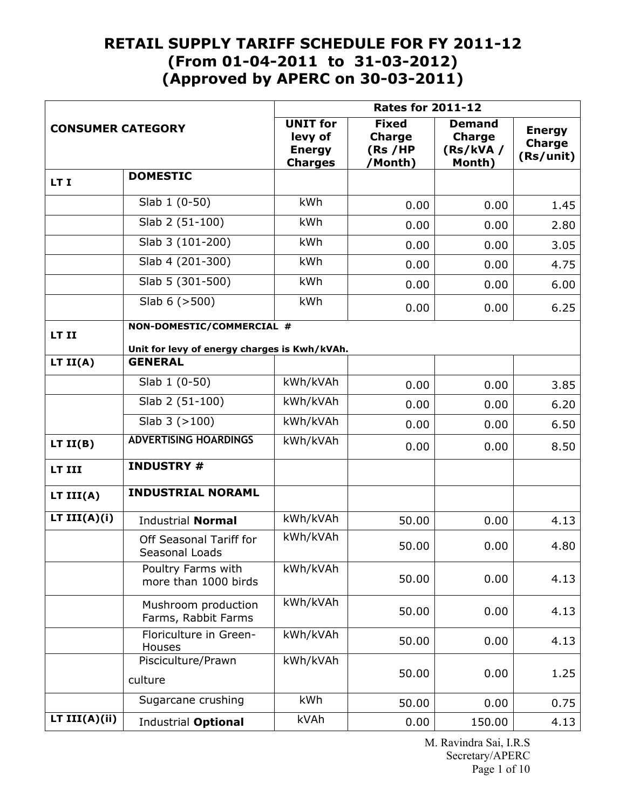|                                                                 |                                                                           | <b>Rates for 2011-12</b>                                      |                                                     |                                                       |                                             |  |
|-----------------------------------------------------------------|---------------------------------------------------------------------------|---------------------------------------------------------------|-----------------------------------------------------|-------------------------------------------------------|---------------------------------------------|--|
| <b>CONSUMER CATEGORY</b>                                        |                                                                           | <b>UNIT for</b><br>levy of<br><b>Energy</b><br><b>Charges</b> | <b>Fixed</b><br><b>Charge</b><br>(Rs /HP<br>/Month) | <b>Demand</b><br><b>Charge</b><br>(Rs/kVA /<br>Month) | <b>Energy</b><br><b>Charge</b><br>(Rs/unit) |  |
| LT I                                                            | <b>DOMESTIC</b>                                                           |                                                               |                                                     |                                                       |                                             |  |
|                                                                 | Slab 1 (0-50)                                                             | kWh                                                           | 0.00                                                | 0.00                                                  | 1.45                                        |  |
|                                                                 | Slab 2 (51-100)                                                           | kWh                                                           | 0.00                                                | 0.00                                                  | 2.80                                        |  |
|                                                                 | Slab 3 (101-200)                                                          | kWh                                                           | 0.00                                                | 0.00                                                  | 3.05                                        |  |
|                                                                 | Slab 4 (201-300)                                                          | kWh                                                           | 0.00                                                | 0.00                                                  | 4.75                                        |  |
|                                                                 | Slab 5 (301-500)                                                          | kWh                                                           | 0.00                                                | 0.00                                                  | 6.00                                        |  |
| Slab $6$ ( $>500$ )                                             |                                                                           | kWh                                                           | 0.00                                                | 0.00                                                  | 6.25                                        |  |
| LT II                                                           | NON-DOMESTIC/COMMERCIAL #<br>Unit for levy of energy charges is Kwh/kVAh. |                                                               |                                                     |                                                       |                                             |  |
| LT $II(A)$                                                      | <b>GENERAL</b>                                                            |                                                               |                                                     |                                                       |                                             |  |
|                                                                 | Slab 1 (0-50)                                                             | kWh/kVAh                                                      | 0.00                                                | 0.00                                                  | 3.85                                        |  |
|                                                                 | Slab 2 (51-100)                                                           | kWh/kVAh                                                      | 0.00                                                | 0.00                                                  | 6.20                                        |  |
|                                                                 | $\overline{S}$ lab 3 (>100)                                               | kWh/kVAh                                                      | 0.00                                                | 0.00                                                  | 6.50                                        |  |
| LT II(B)                                                        | <b>ADVERTISING HOARDINGS</b>                                              | kWh/kVAh                                                      | 0.00                                                | 0.00                                                  | 8.50                                        |  |
| <b>INDUSTRY #</b><br>LT III                                     |                                                                           |                                                               |                                                     |                                                       |                                             |  |
| <b>INDUSTRIAL NORAML</b><br>LT $III(A)$                         |                                                                           |                                                               |                                                     |                                                       |                                             |  |
| LT $III(A)(i)$<br>kWh/kVAh<br><b>Industrial Normal</b><br>50.00 |                                                                           | 0.00                                                          | 4.13                                                |                                                       |                                             |  |
|                                                                 | Off Seasonal Tariff for<br>Seasonal Loads                                 | kWh/kVAh                                                      | 50.00                                               | 0.00                                                  | 4.80                                        |  |
|                                                                 | Poultry Farms with<br>more than 1000 birds                                | kWh/kVAh                                                      | 50.00                                               | 0.00                                                  | 4.13                                        |  |
|                                                                 | Mushroom production<br>Farms, Rabbit Farms                                | kWh/kVAh                                                      | 50.00                                               | 0.00                                                  | 4.13                                        |  |
|                                                                 | Floriculture in Green-<br>Houses                                          | kWh/kVAh                                                      | 50.00                                               | 0.00                                                  | 4.13                                        |  |
|                                                                 | Pisciculture/Prawn<br>culture                                             | kWh/kVAh                                                      | 50.00                                               | 0.00                                                  | 1.25                                        |  |
|                                                                 | Sugarcane crushing                                                        | kWh                                                           | 50.00                                               | 0.00                                                  | 0.75                                        |  |
| LT $III(A)(ii)$                                                 | Industrial Optional                                                       | kVAh                                                          | 0.00                                                | 150.00                                                | 4.13                                        |  |

M. Ravindra Sai, I.R.S Secretary/APERC Page 1 of 10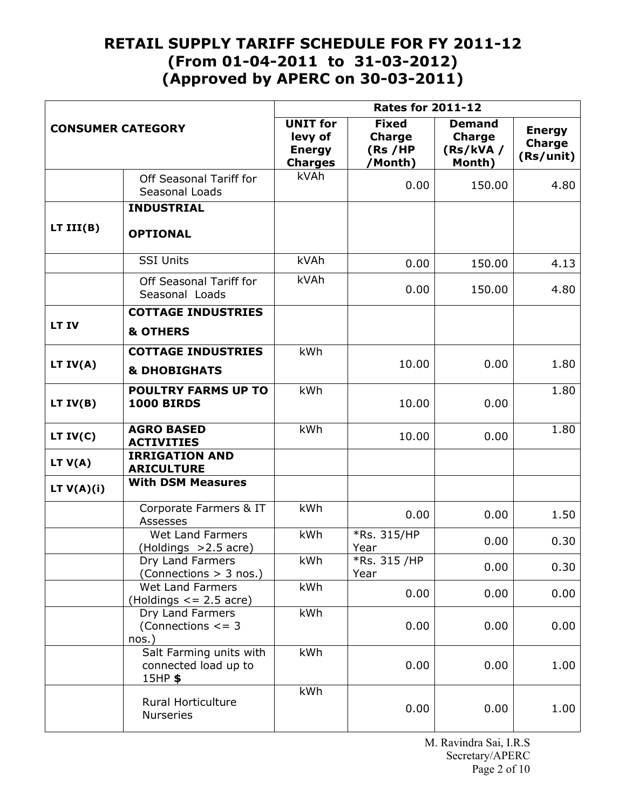|                                                       |                                                              | <b>Rates for 2011-12</b>                                      |                                                     |                                                      |                                             |
|-------------------------------------------------------|--------------------------------------------------------------|---------------------------------------------------------------|-----------------------------------------------------|------------------------------------------------------|---------------------------------------------|
| <b>CONSUMER CATEGORY</b>                              |                                                              | <b>UNIT</b> for<br>levy of<br><b>Energy</b><br><b>Charges</b> | <b>Fixed</b><br><b>Charge</b><br>(Rs /HP<br>/Month) | <b>Demand</b><br><b>Charge</b><br>(Rs/KVA)<br>Month) | <b>Energy</b><br><b>Charge</b><br>(Rs/unit) |
|                                                       | Off Seasonal Tariff for<br>Seasonal Loads                    | kVAh                                                          | 0.00                                                | 150.00                                               | 4.80                                        |
|                                                       | <b>INDUSTRIAL</b>                                            |                                                               |                                                     |                                                      |                                             |
| LT III(B)                                             | <b>OPTIONAL</b>                                              |                                                               |                                                     |                                                      |                                             |
|                                                       | <b>SSI Units</b>                                             | kVAh                                                          | 0.00                                                | 150.00                                               | 4.13                                        |
|                                                       | Off Seasonal Tariff for<br>Seasonal Loads                    | kVAh                                                          | 0.00                                                | 150.00                                               | 4.80                                        |
|                                                       | <b>COTTAGE INDUSTRIES</b>                                    |                                                               |                                                     |                                                      |                                             |
| LT IV                                                 | <b>&amp; OTHERS</b>                                          |                                                               |                                                     |                                                      |                                             |
|                                                       | <b>COTTAGE INDUSTRIES</b>                                    | kWh                                                           | 10.00                                               |                                                      |                                             |
| LT $IV(A)$                                            | <b>&amp; DHOBIGHATS</b>                                      |                                                               |                                                     | 0.00                                                 | 1.80                                        |
| LT $IV(B)$                                            | <b>POULTRY FARMS UP TO</b><br><b>1000 BIRDS</b>              | kWh                                                           | 10.00                                               | 0.00                                                 | 1.80                                        |
| LT $IV(C)$                                            | <b>AGRO BASED</b><br><b>ACTIVITIES</b>                       | kWh                                                           | 10.00                                               | 0.00                                                 | 1.80                                        |
| <b>IRRIGATION AND</b><br>LT V(A)<br><b>ARICULTURE</b> |                                                              |                                                               |                                                     |                                                      |                                             |
| LT $V(A)(i)$                                          | <b>With DSM Measures</b>                                     |                                                               |                                                     |                                                      |                                             |
|                                                       | Corporate Farmers & IT<br><b>Assesses</b>                    | kWh                                                           | 0.00                                                | 0.00                                                 | 1.50                                        |
|                                                       | <b>Wet Land Farmers</b><br>(Holdings >2.5 acre)              | kWh                                                           | *Rs. 315/HP<br>Year                                 | 0.00                                                 | 0.30                                        |
|                                                       | Dry Land Farmers<br>(Connections > 3 nos.)                   | kWh                                                           | *Rs. 315 /HP<br>Year                                | 0.00                                                 | 0.30                                        |
|                                                       | Wet Land Farmers<br>(Holdings $\le$ = 2.5 acre)              | kWh                                                           | 0.00                                                | 0.00                                                 | 0.00                                        |
|                                                       | Dry Land Farmers<br>(Connections $\leq$ = 3<br>nos.)         | kWh                                                           | 0.00                                                | 0.00                                                 | 0.00                                        |
|                                                       | Salt Farming units with<br>connected load up to<br>$15HP$ \$ | kWh                                                           | 0.00                                                | 0.00                                                 | 1.00                                        |
|                                                       | <b>Rural Horticulture</b><br><b>Nurseries</b>                | kWh                                                           | 0.00                                                | 0.00                                                 | 1.00                                        |

M. Ravindra Sai, I.R.S Secretary/APERC Page 2 of 10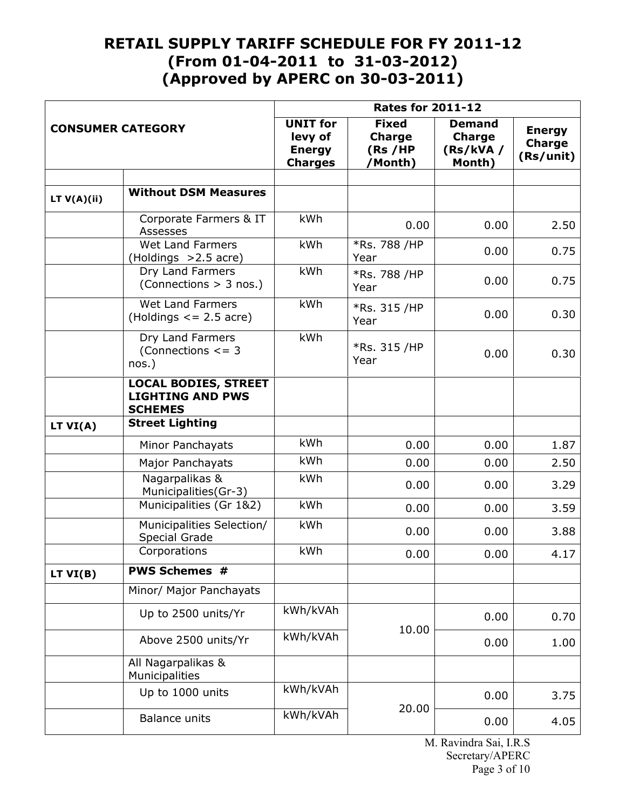|                          |                                                                          | <b>Rates for 2011-12</b>                                      |                                                     |                                                      |                                             |  |
|--------------------------|--------------------------------------------------------------------------|---------------------------------------------------------------|-----------------------------------------------------|------------------------------------------------------|---------------------------------------------|--|
| <b>CONSUMER CATEGORY</b> |                                                                          | <b>UNIT</b> for<br>levy of<br><b>Energy</b><br><b>Charges</b> | <b>Fixed</b><br><b>Charge</b><br>(Rs /HP<br>/Month) | <b>Demand</b><br><b>Charge</b><br>(Rs/kVA)<br>Month) | <b>Energy</b><br><b>Charge</b><br>(Rs/unit) |  |
|                          |                                                                          |                                                               |                                                     |                                                      |                                             |  |
| LT $V(A)(ii)$            | <b>Without DSM Measures</b>                                              |                                                               |                                                     |                                                      |                                             |  |
|                          | Corporate Farmers & IT<br>Assesses                                       | kWh                                                           | 0.00                                                | 0.00                                                 | 2.50                                        |  |
|                          | <b>Wet Land Farmers</b><br>(Holdings > 2.5 acre)                         | kWh                                                           | *Rs. 788 /HP<br>Year                                | 0.00                                                 | 0.75                                        |  |
|                          | Dry Land Farmers<br>(Connections > 3 nos.)                               | kWh                                                           | *Rs. 788 /HP<br>Year                                | 0.00                                                 | 0.75                                        |  |
|                          | Wet Land Farmers<br>(Holdings $\le$ = 2.5 acre)                          | kWh                                                           | *Rs. 315 /HP<br>Year                                | 0.00                                                 | 0.30                                        |  |
|                          | Dry Land Farmers<br>(Connections $\leq$ = 3<br>$nos.$ )                  | kWh                                                           | *Rs. 315 /HP<br>Year                                | 0.00                                                 | 0.30                                        |  |
|                          | <b>LOCAL BODIES, STREET</b><br><b>LIGHTING AND PWS</b><br><b>SCHEMES</b> |                                                               |                                                     |                                                      |                                             |  |
| LT $VI(A)$               | <b>Street Lighting</b>                                                   |                                                               |                                                     |                                                      |                                             |  |
|                          | Minor Panchayats                                                         | kWh                                                           | 0.00                                                | 0.00                                                 | 1.87                                        |  |
|                          | Major Panchayats                                                         | kWh                                                           | 0.00                                                | 0.00                                                 | 2.50                                        |  |
|                          | Nagarpalikas &<br>Municipalities(Gr-3)                                   | kWh                                                           | 0.00                                                | 0.00                                                 | 3.29                                        |  |
|                          | Municipalities (Gr 1&2)                                                  | kWh                                                           | 0.00                                                | 0.00                                                 | 3.59                                        |  |
|                          | Municipalities Selection/<br><b>Special Grade</b>                        | kWh                                                           | 0.00                                                | 0.00                                                 | 3.88                                        |  |
| Corporations             |                                                                          | kWh                                                           | 0.00                                                | 0.00                                                 | 4.17                                        |  |
| LT VI(B)                 | <b>PWS Schemes #</b>                                                     |                                                               |                                                     |                                                      |                                             |  |
|                          | Minor/ Major Panchayats                                                  |                                                               |                                                     |                                                      |                                             |  |
|                          | Up to 2500 units/Yr                                                      | kWh/kVAh                                                      | 10.00                                               | 0.00                                                 | 0.70                                        |  |
|                          | Above 2500 units/Yr                                                      | kWh/kVAh                                                      |                                                     | 0.00                                                 | 1.00                                        |  |
|                          | All Nagarpalikas &<br>Municipalities                                     |                                                               |                                                     |                                                      |                                             |  |
|                          | Up to 1000 units                                                         | kWh/kVAh                                                      | 20.00                                               | 0.00                                                 | 3.75                                        |  |
|                          | <b>Balance units</b>                                                     | kWh/kVAh                                                      |                                                     | 0.00                                                 | 4.05                                        |  |

M. Ravindra Sai, I.R.S Secretary/APERC Page 3 of 10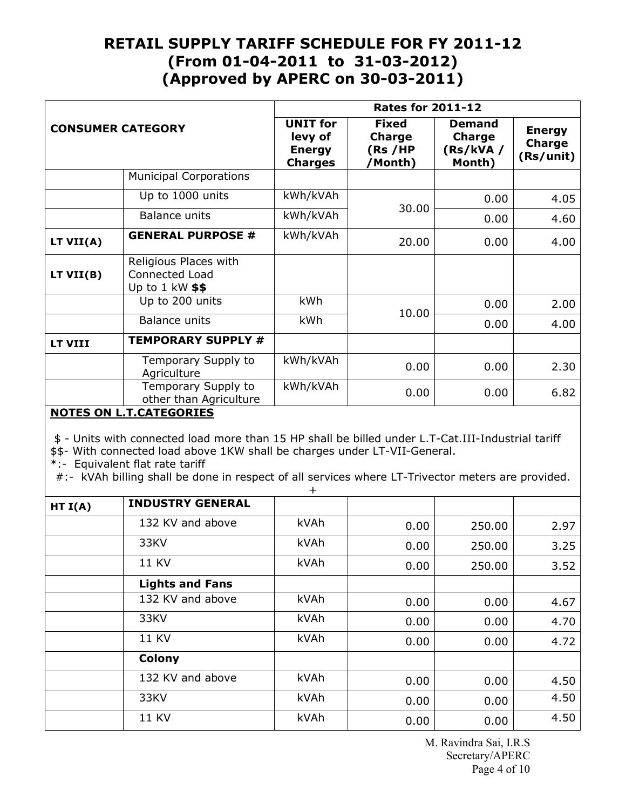| <b>CONSUMER CATEGORY</b> |                                                                             | <b>Rates for 2011-12</b>                                      |                                                     |                                                      |                                             |  |
|--------------------------|-----------------------------------------------------------------------------|---------------------------------------------------------------|-----------------------------------------------------|------------------------------------------------------|---------------------------------------------|--|
|                          |                                                                             | <b>UNIT for</b><br>levy of<br><b>Energy</b><br><b>Charges</b> | <b>Fixed</b><br><b>Charge</b><br>(Rs /HP<br>/Month) | <b>Demand</b><br><b>Charge</b><br>(Rs/kVA)<br>Month) | <b>Energy</b><br><b>Charge</b><br>(Rs/unit) |  |
|                          | <b>Municipal Corporations</b>                                               |                                                               |                                                     |                                                      |                                             |  |
|                          | Up to 1000 units                                                            | kWh/kVAh                                                      |                                                     | 0.00                                                 | 4.05                                        |  |
|                          | <b>Balance units</b>                                                        | kWh/kVAh                                                      | 30.00                                               | 0.00                                                 | 4.60                                        |  |
| LT VII(A)                | <b>GENERAL PURPOSE #</b>                                                    | kWh/kVAh                                                      | 20.00                                               | 0.00                                                 | 4.00                                        |  |
| LT VII(B)                | Religious Places with<br><b>Connected Load</b><br>Up to $1 \text{ kW}$ \$\$ |                                                               |                                                     |                                                      |                                             |  |
|                          | Up to 200 units                                                             | <b>kWh</b>                                                    |                                                     | 0.00                                                 | 2.00                                        |  |
|                          | Balance units                                                               | kWh                                                           | 10.00                                               | 0.00                                                 | 4.00                                        |  |
| LT VIII                  | <b>TEMPORARY SUPPLY #</b>                                                   |                                                               |                                                     |                                                      |                                             |  |
|                          | Temporary Supply to<br>Agriculture                                          | kWh/kVAh                                                      | 0.00                                                | 0.00                                                 | 2.30                                        |  |
|                          | Temporary Supply to<br>other than Agriculture                               | kWh/kVAh                                                      | 0.00                                                | 0.00                                                 | 6.82                                        |  |
|                          | NOTEC ONLY CATECODIEC                                                       |                                                               |                                                     |                                                      |                                             |  |

#### **NOTES ON L.T.CATEGORIES**

\$ - Units with connected load more than 15 HP shall be billed under L.T-Cat.III-Industrial tariff

\$\$- With connected load above 1KW shall be charges under LT-VII-General.

\*:- Equivalent flat rate tariff

#:- kVAh billing shall be done in respect of all services where LT-Trivector meters are provided.  $+$ 

| HT I(A) | <b>INDUSTRY GENERAL</b> |      |      |        |      |
|---------|-------------------------|------|------|--------|------|
|         | 132 KV and above        | kVAh | 0.00 | 250.00 | 2.97 |
|         | 33KV                    | kVAh | 0.00 | 250.00 | 3.25 |
|         | <b>11 KV</b>            | kVAh | 0.00 | 250.00 | 3.52 |
|         | <b>Lights and Fans</b>  |      |      |        |      |
|         | 132 KV and above        | kVAh | 0.00 | 0.00   | 4.67 |
|         | 33KV                    | kVAh | 0.00 | 0.00   | 4.70 |
|         | <b>11 KV</b>            | kVAh | 0.00 | 0.00   | 4.72 |
|         | <b>Colony</b>           |      |      |        |      |
|         | 132 KV and above        | kVAh | 0.00 | 0.00   | 4.50 |
|         | 33KV                    | kVAh | 0.00 | 0.00   | 4.50 |
|         | <b>11 KV</b>            | kVAh | 0.00 | 0.00   | 4.50 |

M. Ravindra Sai, I.R.S Secretary/APERC Page 4 of 10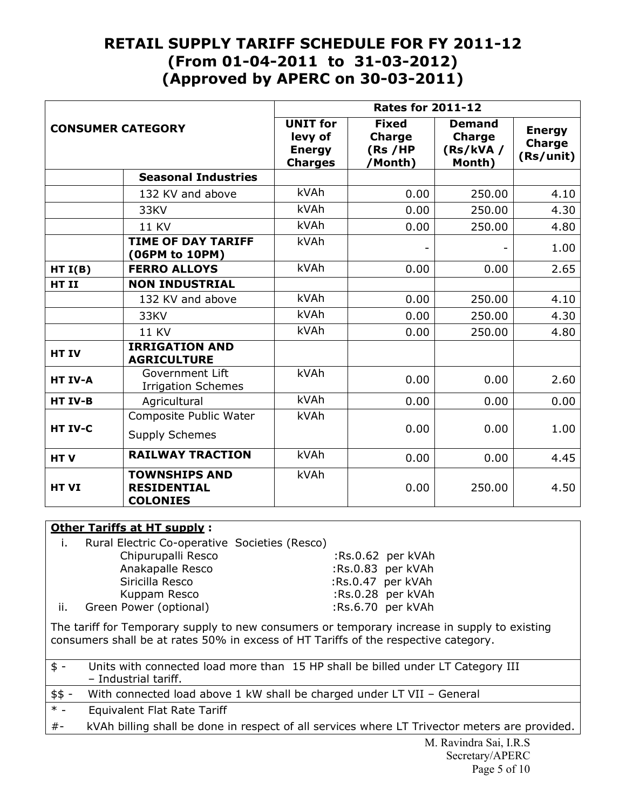| <b>CONSUMER CATEGORY</b>                                   |                                                               | <b>Rates for 2011-12</b>                                      |                                                       |                                                      |                                             |  |
|------------------------------------------------------------|---------------------------------------------------------------|---------------------------------------------------------------|-------------------------------------------------------|------------------------------------------------------|---------------------------------------------|--|
|                                                            |                                                               | <b>UNIT for</b><br>levy of<br><b>Energy</b><br><b>Charges</b> | <b>Fixed</b><br><b>Charge</b><br>(Rs / HP)<br>/Month) | <b>Demand</b><br><b>Charge</b><br>(Rs/KVA)<br>Month) | <b>Energy</b><br><b>Charge</b><br>(Rs/unit) |  |
|                                                            | <b>Seasonal Industries</b>                                    |                                                               |                                                       |                                                      |                                             |  |
|                                                            | 132 KV and above                                              | kVAh                                                          | 0.00                                                  | 250.00                                               | 4.10                                        |  |
|                                                            | 33KV                                                          | kVAh                                                          | 0.00                                                  | 250.00                                               | 4.30                                        |  |
|                                                            | <b>11 KV</b>                                                  | kVAh                                                          | 0.00                                                  | 250.00                                               | 4.80                                        |  |
|                                                            | <b>TIME OF DAY TARIFF</b><br>(06PM to 10PM)                   | kVAh                                                          |                                                       | $\overline{\phantom{a}}$                             | 1.00                                        |  |
| HT I(B)                                                    | <b>FERRO ALLOYS</b>                                           |                                                               | 0.00                                                  | 0.00                                                 | 2.65                                        |  |
| HT II                                                      | <b>NON INDUSTRIAL</b>                                         |                                                               |                                                       |                                                      |                                             |  |
|                                                            | 132 KV and above                                              | kVAh                                                          | 0.00                                                  | 250.00                                               | 4.10                                        |  |
|                                                            | 33KV                                                          | kVAh                                                          | 0.00                                                  | 250.00                                               | 4.30                                        |  |
|                                                            | <b>11 KV</b>                                                  | kVAh                                                          | 0.00                                                  | 250.00                                               | 4.80                                        |  |
| <b>HT IV</b>                                               | <b>IRRIGATION AND</b><br><b>AGRICULTURE</b>                   |                                                               |                                                       |                                                      |                                             |  |
| HT IV-A                                                    | Government Lift<br><b>Irrigation Schemes</b>                  | kVAh                                                          | 0.00                                                  | 0.00                                                 | 2.60                                        |  |
| HT IV-B                                                    | Agricultural                                                  |                                                               | 0.00                                                  | 0.00                                                 | 0.00                                        |  |
| Composite Public Water<br>HT IV-C<br><b>Supply Schemes</b> |                                                               | kVAh                                                          | 0.00                                                  | 0.00                                                 | 1.00                                        |  |
| HTV                                                        | <b>RAILWAY TRACTION</b>                                       | kVAh                                                          | 0.00                                                  | 0.00                                                 | 4.45                                        |  |
| HT VI                                                      | <b>TOWNSHIPS AND</b><br><b>RESIDENTIAL</b><br><b>COLONIES</b> | kVAh                                                          | 0.00                                                  | 250.00                                               | 4.50                                        |  |

### **Other Tariffs at HT supply :**

|     | Rural Electric Co-operative Societies (Resco) |                   |
|-----|-----------------------------------------------|-------------------|
|     | Chipurupalli Resco                            | :Rs.0.62 per kVAh |
|     | Anakapalle Resco                              | :Rs.0.83 per kVAh |
|     | Siricilla Resco                               | :Rs.0.47 per kVAh |
|     | Kuppam Resco                                  | :Rs.0.28 per kVAh |
| ii. | Green Power (optional)                        | :Rs.6.70 per kVAh |

The tariff for Temporary supply to new consumers or temporary increase in supply to existing consumers shall be at rates 50% in excess of HT Tariffs of the respective category.

| $$ -$ |                      | Units with connected load more than 15 HP shall be billed under LT Category III |
|-------|----------------------|---------------------------------------------------------------------------------|
|       | - Industrial tariff. |                                                                                 |

| \$\$ - With connected load above 1 kW shall be charged under LT VII - General |  |
|-------------------------------------------------------------------------------|--|
|-------------------------------------------------------------------------------|--|

\* - Equivalent Flat Rate Tariff

#- kVAh billing shall be done in respect of all services where LT Trivector meters are provided.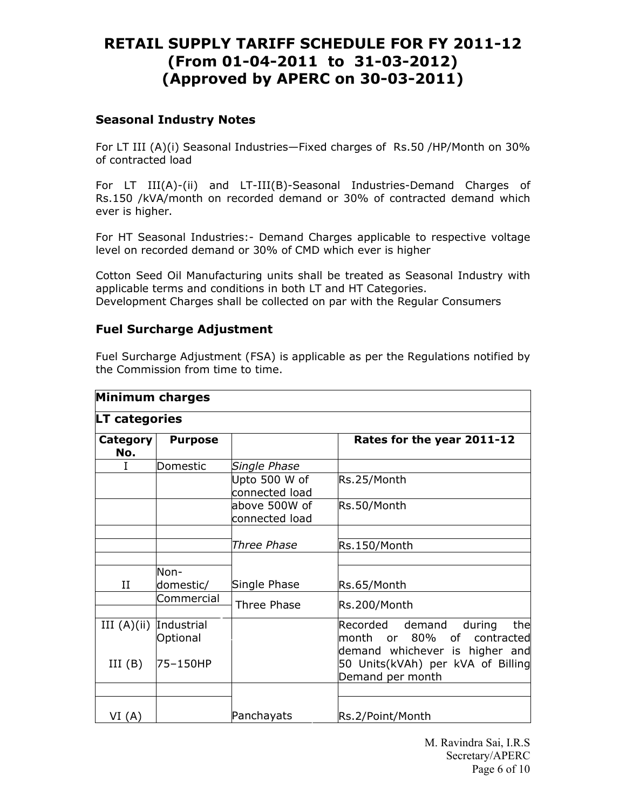### **Seasonal Industry Notes**

For LT III (A)(i) Seasonal Industries—Fixed charges of Rs.50 /HP/Month on 30% of contracted load

For LT III(A)-(ii) and LT-III(B)-Seasonal Industries-Demand Charges of Rs.150 /kVA/month on recorded demand or 30% of contracted demand which ever is higher.

For HT Seasonal Industries:- Demand Charges applicable to respective voltage level on recorded demand or 30% of CMD which ever is higher

Cotton Seed Oil Manufacturing units shall be treated as Seasonal Industry with applicable terms and conditions in both LT and HT Categories. Development Charges shall be collected on par with the Regular Consumers

### **Fuel Surcharge Adjustment**

Fuel Surcharge Adjustment (FSA) is applicable as per the Regulations notified by the Commission from time to time.

| Minimum charges        |                        |                                 |                                                                                                                  |
|------------------------|------------------------|---------------------------------|------------------------------------------------------------------------------------------------------------------|
| <b>LT categories</b>   |                        |                                 |                                                                                                                  |
| <b>Category</b><br>No. | <b>Purpose</b>         |                                 | Rates for the year 2011-12                                                                                       |
| I                      | Domestic               | Single Phase                    |                                                                                                                  |
|                        |                        | Upto 500 W of<br>connected load | Rs.25/Month                                                                                                      |
|                        |                        | above 500W of<br>connected load | Rs.50/Month                                                                                                      |
|                        |                        | Three Phase                     | Rs.150/Month                                                                                                     |
| II                     | Non-<br>domestic/      | Single Phase                    | Rs.65/Month                                                                                                      |
|                        | Commercial             | <b>Three Phase</b>              | Rs.200/Month                                                                                                     |
| III $(A)(ii)$          | Industrial<br>Optional |                                 | Recorded<br>demand<br>during<br>the<br>80%<br>contracted<br>lmonth<br>of<br>or<br>demand whichever is higher and |
| III(B)                 | 75-150HP               |                                 | 50 Units(kVAh) per kVA of Billing<br>Demand per month                                                            |
|                        |                        |                                 |                                                                                                                  |
| VI(A)                  |                        | Panchayats                      | Rs.2/Point/Month                                                                                                 |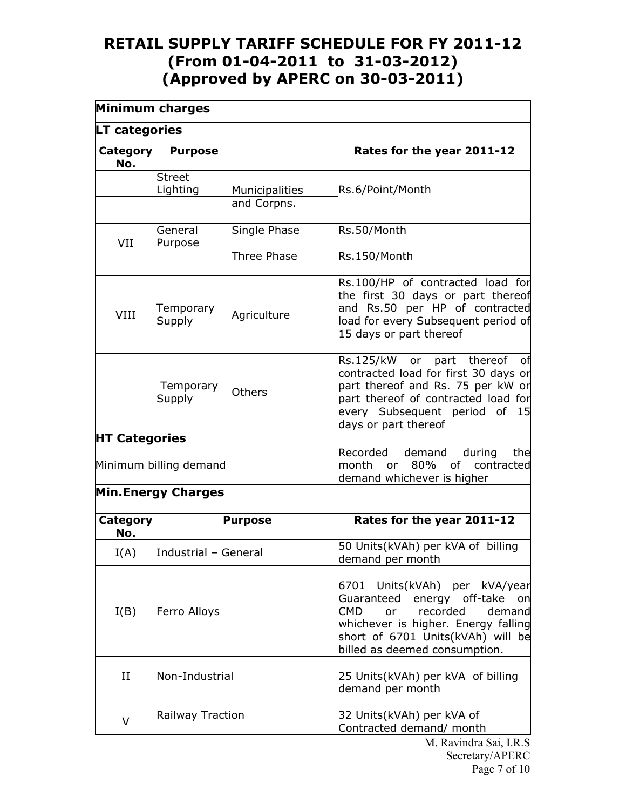| Minimum charges                   |                           |                               |                                                                                                                                                                                                                                 |
|-----------------------------------|---------------------------|-------------------------------|---------------------------------------------------------------------------------------------------------------------------------------------------------------------------------------------------------------------------------|
| <b>LT categories</b>              |                           |                               |                                                                                                                                                                                                                                 |
| <b>Category</b><br>No.            | <b>Purpose</b>            |                               | Rates for the year 2011-12                                                                                                                                                                                                      |
|                                   | <b>Street</b><br>Lighting | Municipalities<br>and Corpns. | Rs.6/Point/Month                                                                                                                                                                                                                |
| VII                               | General<br>Purpose        | Single Phase                  | Rs.50/Month                                                                                                                                                                                                                     |
|                                   |                           | Three Phase                   | Rs.150/Month                                                                                                                                                                                                                    |
| <b>VIII</b>                       | Temporary<br>Supply       | Agriculture                   | Rs.100/HP of contracted load for<br>the first 30 days or part thereof<br>and Rs.50 per HP of contracted<br>load for every Subsequent period of<br>15 days or part thereof                                                       |
|                                   | Temporary<br>Supply       | <b>Others</b>                 | Rs.125/kW or part thereof<br>оf<br>contracted load for first 30 days or<br>part thereof and Rs. 75 per kW or<br>part thereof of contracted load for<br>every Subsequent period of<br>15<br>days or part thereof                 |
| <b>HT Categories</b>              |                           |                               |                                                                                                                                                                                                                                 |
| Minimum billing demand            |                           |                               | demand<br>the<br>Recorded<br>during<br>month<br>80%<br>contracted<br>of l<br>or<br>demand whichever is higher                                                                                                                   |
|                                   | <b>Min.Energy Charges</b> |                               |                                                                                                                                                                                                                                 |
| Category<br><b>Purpose</b><br>No. |                           |                               | Rates for the year 2011-12                                                                                                                                                                                                      |
| I(A)                              | Industrial - General      |                               | 50 Units(kVAh) per kVA of billing<br>demand per month                                                                                                                                                                           |
| I(B)                              | Ferro Alloys              |                               | 6701 Units(kVAh) per kVA/year<br>Guaranteed energy off-take<br>on<br><b>CMD</b><br>recorded<br>demand<br><b>or</b><br>whichever is higher. Energy falling<br>short of 6701 Units(kVAh) will be<br>billed as deemed consumption. |
| II                                | Non-Industrial            |                               | 25 Units(kVAh) per kVA of billing<br>demand per month                                                                                                                                                                           |
| $\vee$                            | Railway Traction          |                               | 32 Units(kVAh) per kVA of<br>Contracted demand/ month<br>M Ravindra Sai IRS                                                                                                                                                     |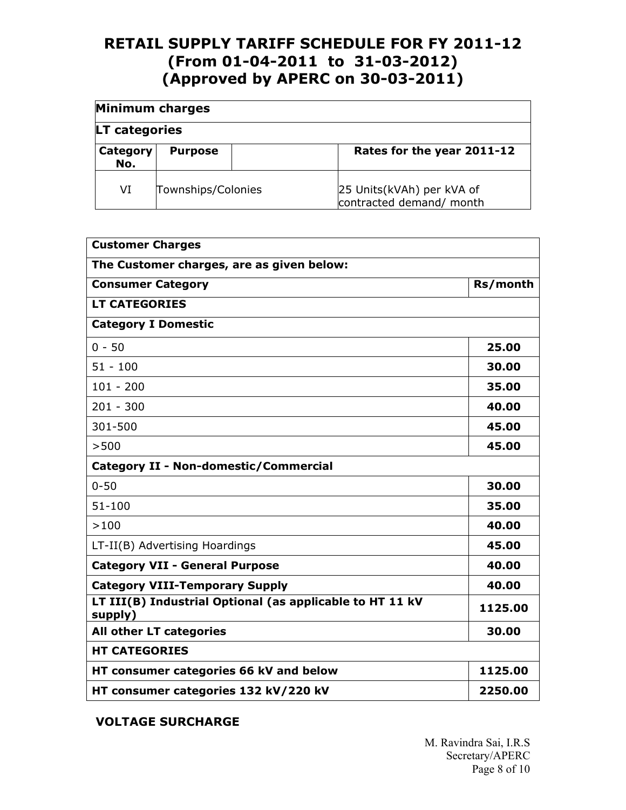|                 | <b>Minimum charges</b> |  |                                                       |
|-----------------|------------------------|--|-------------------------------------------------------|
| LT categories   |                        |  |                                                       |
| Category<br>No. | <b>Purpose</b>         |  | Rates for the year 2011-12                            |
| VI              | Townships/Colonies     |  | 25 Units(kVAh) per kVA of<br>contracted demand/ month |

| <b>Customer Charges</b>                                             |          |  |  |  |
|---------------------------------------------------------------------|----------|--|--|--|
| The Customer charges, are as given below:                           |          |  |  |  |
| <b>Consumer Category</b>                                            | Rs/month |  |  |  |
| <b>LT CATEGORIES</b>                                                |          |  |  |  |
| <b>Category I Domestic</b>                                          |          |  |  |  |
| $0 - 50$                                                            | 25.00    |  |  |  |
| $51 - 100$                                                          | 30.00    |  |  |  |
| $101 - 200$                                                         | 35.00    |  |  |  |
| $201 - 300$                                                         | 40.00    |  |  |  |
| 301-500                                                             | 45.00    |  |  |  |
| >500                                                                | 45.00    |  |  |  |
| <b>Category II - Non-domestic/Commercial</b>                        |          |  |  |  |
| $0 - 50$                                                            | 30.00    |  |  |  |
| $51 - 100$                                                          | 35.00    |  |  |  |
| >100                                                                | 40.00    |  |  |  |
| LT-II(B) Advertising Hoardings                                      | 45.00    |  |  |  |
| <b>Category VII - General Purpose</b>                               | 40.00    |  |  |  |
| <b>Category VIII-Temporary Supply</b>                               | 40.00    |  |  |  |
| LT III(B) Industrial Optional (as applicable to HT 11 kV<br>supply) | 1125.00  |  |  |  |
| All other LT categories                                             | 30.00    |  |  |  |
| <b>HT CATEGORIES</b>                                                |          |  |  |  |
| HT consumer categories 66 kV and below                              | 1125.00  |  |  |  |
| HT consumer categories 132 kV/220 kV                                | 2250.00  |  |  |  |

**VOLTAGE SURCHARGE**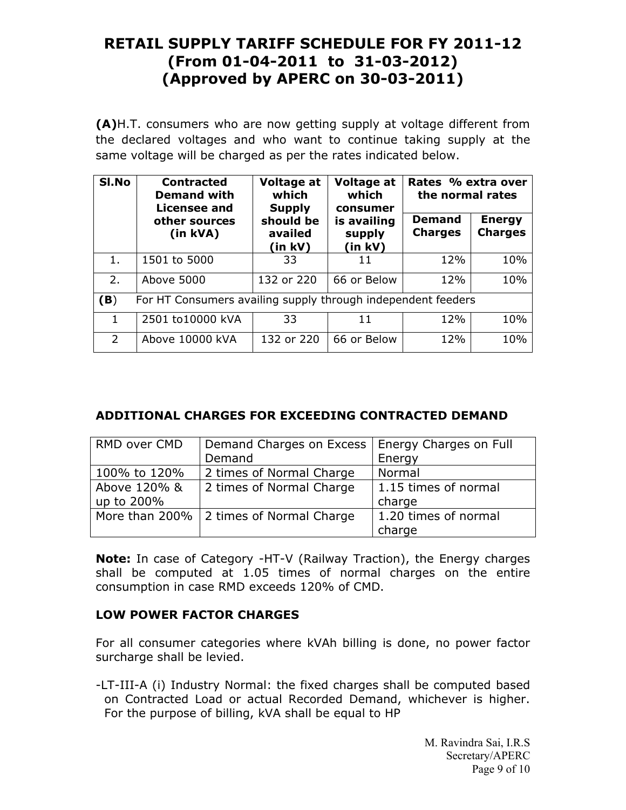**(A)**H.T. consumers who are now getting supply at voltage different from the declared voltages and who want to continue taking supply at the same voltage will be charged as per the rates indicated below.

| SI.No         | <b>Contracted</b><br><b>Demand with</b><br>Licensee and      | Voltage at<br>which<br><b>Supply</b> | Voltage at<br>which<br>consumer<br>is availing<br>supply<br>(in kV) | Rates % extra over<br>the normal rates |                                 |  |
|---------------|--------------------------------------------------------------|--------------------------------------|---------------------------------------------------------------------|----------------------------------------|---------------------------------|--|
|               | other sources<br>(in kVA)                                    | should be<br>availed<br>(in kV)      |                                                                     | <b>Demand</b><br><b>Charges</b>        | <b>Energy</b><br><b>Charges</b> |  |
| 1.            | 1501 to 5000                                                 | 33                                   | 11                                                                  | 12%                                    | 10%                             |  |
| 2.            | Above 5000                                                   | 132 or 220                           | 66 or Below                                                         | 12%                                    | 10%                             |  |
| (B)           | For HT Consumers availing supply through independent feeders |                                      |                                                                     |                                        |                                 |  |
| 1             | 2501 to10000 kVA                                             | 33                                   | 11                                                                  | 12%                                    | 10%                             |  |
| $\mathcal{P}$ | Above 10000 kVA                                              | 132 or 220                           | 66 or Below                                                         | 12%                                    | 10%                             |  |

### **ADDITIONAL CHARGES FOR EXCEEDING CONTRACTED DEMAND**

| RMD over CMD | Demand Charges on Excess   Energy Charges on Full |                      |
|--------------|---------------------------------------------------|----------------------|
|              | Demand                                            | Energy               |
| 100% to 120% | 2 times of Normal Charge                          | Normal               |
| Above 120% & | 2 times of Normal Charge                          | 1.15 times of normal |
| up to 200%   |                                                   | charge               |
|              | More than 200%   2 times of Normal Charge         | 1.20 times of normal |
|              |                                                   | charge               |

**Note:** In case of Category -HT-V (Railway Traction), the Energy charges shall be computed at 1.05 times of normal charges on the entire consumption in case RMD exceeds 120% of CMD.

### **LOW POWER FACTOR CHARGES**

For all consumer categories where kVAh billing is done, no power factor surcharge shall be levied.

-LT-III-A (i) Industry Normal: the fixed charges shall be computed based on Contracted Load or actual Recorded Demand, whichever is higher. For the purpose of billing, kVA shall be equal to HP